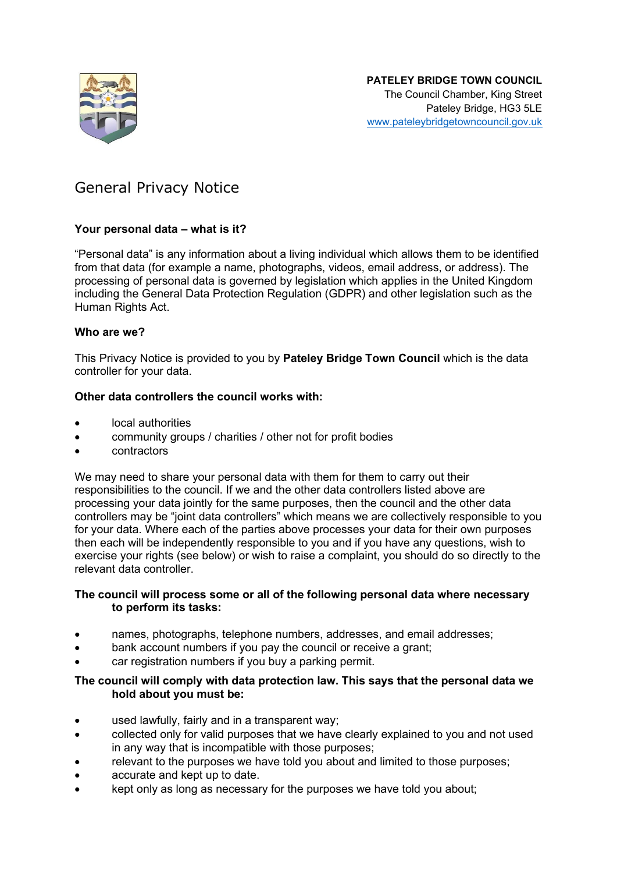

# General Privacy Notice

# **Your personal data – what is it?**

"Personal data" is any information about a living individual which allows them to be identified from that data (for example a name, photographs, videos, email address, or address). The processing of personal data is governed by legislation which applies in the United Kingdom including the General Data Protection Regulation (GDPR) and other legislation such as the Human Rights Act.

#### **Who are we?**

This Privacy Notice is provided to you by **Pateley Bridge Town Council** which is the data controller for your data.

#### **Other data controllers the council works with:**

- local authorities
- community groups / charities / other not for profit bodies
- contractors

We may need to share your personal data with them for them to carry out their responsibilities to the council. If we and the other data controllers listed above are processing your data jointly for the same purposes, then the council and the other data controllers may be "joint data controllers" which means we are collectively responsible to you for your data. Where each of the parties above processes your data for their own purposes then each will be independently responsible to you and if you have any questions, wish to exercise your rights (see below) or wish to raise a complaint, you should do so directly to the relevant data controller.

# **The council will process some or all of the following personal data where necessary to perform its tasks:**

- names, photographs, telephone numbers, addresses, and email addresses;
- bank account numbers if you pay the council or receive a grant;
- car registration numbers if you buy a parking permit.

#### **The council will comply with data protection law. This says that the personal data we hold about you must be:**

- used lawfully, fairly and in a transparent way;
- collected only for valid purposes that we have clearly explained to you and not used in any way that is incompatible with those purposes;
- relevant to the purposes we have told you about and limited to those purposes;
- accurate and kept up to date.
- kept only as long as necessary for the purposes we have told you about;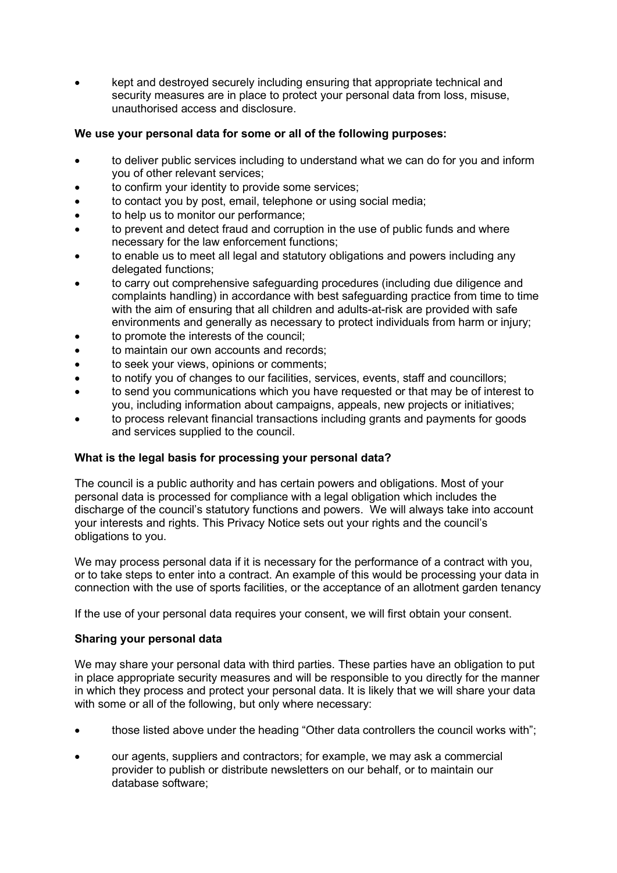• kept and destroyed securely including ensuring that appropriate technical and security measures are in place to protect your personal data from loss, misuse, unauthorised access and disclosure.

# **We use your personal data for some or all of the following purposes:**

- to deliver public services including to understand what we can do for you and inform you of other relevant services;
- to confirm your identity to provide some services;
- to contact you by post, email, telephone or using social media;
- to help us to monitor our performance;
- to prevent and detect fraud and corruption in the use of public funds and where necessary for the law enforcement functions;
- to enable us to meet all legal and statutory obligations and powers including any delegated functions;
- to carry out comprehensive safeguarding procedures (including due diligence and complaints handling) in accordance with best safeguarding practice from time to time with the aim of ensuring that all children and adults-at-risk are provided with safe environments and generally as necessary to protect individuals from harm or injury;
- to promote the interests of the council;
- to maintain our own accounts and records;
- to seek your views, opinions or comments;
- to notify you of changes to our facilities, services, events, staff and councillors;
- to send you communications which you have requested or that may be of interest to you, including information about campaigns, appeals, new projects or initiatives;
- to process relevant financial transactions including grants and payments for goods and services supplied to the council.

# **What is the legal basis for processing your personal data?**

The council is a public authority and has certain powers and obligations. Most of your personal data is processed for compliance with a legal obligation which includes the discharge of the council's statutory functions and powers. We will always take into account your interests and rights. This Privacy Notice sets out your rights and the council's obligations to you.

We may process personal data if it is necessary for the performance of a contract with you, or to take steps to enter into a contract. An example of this would be processing your data in connection with the use of sports facilities, or the acceptance of an allotment garden tenancy

If the use of your personal data requires your consent, we will first obtain your consent.

# **Sharing your personal data**

We may share your personal data with third parties. These parties have an obligation to put in place appropriate security measures and will be responsible to you directly for the manner in which they process and protect your personal data. It is likely that we will share your data with some or all of the following, but only where necessary:

- those listed above under the heading "Other data controllers the council works with";
- our agents, suppliers and contractors; for example, we may ask a commercial provider to publish or distribute newsletters on our behalf, or to maintain our database software;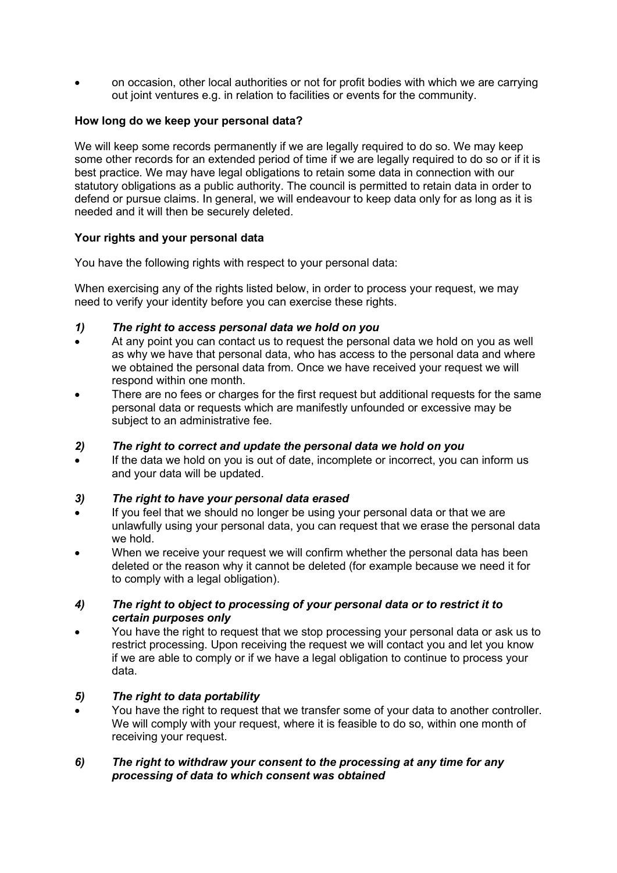• on occasion, other local authorities or not for profit bodies with which we are carrying out joint ventures e.g. in relation to facilities or events for the community.

# **How long do we keep your personal data?**

We will keep some records permanently if we are legally required to do so. We may keep some other records for an extended period of time if we are legally required to do so or if it is best practice. We may have legal obligations to retain some data in connection with our statutory obligations as a public authority. The council is permitted to retain data in order to defend or pursue claims. In general, we will endeavour to keep data only for as long as it is needed and it will then be securely deleted.

# **Your rights and your personal data**

You have the following rights with respect to your personal data:

When exercising any of the rights listed below, in order to process your request, we may need to verify your identity before you can exercise these rights.

# *1) The right to access personal data we hold on you*

- At any point you can contact us to request the personal data we hold on you as well as why we have that personal data, who has access to the personal data and where we obtained the personal data from. Once we have received your request we will respond within one month.
- There are no fees or charges for the first request but additional requests for the same personal data or requests which are manifestly unfounded or excessive may be subject to an administrative fee.

# *2) The right to correct and update the personal data we hold on you*

If the data we hold on you is out of date, incomplete or incorrect, you can inform us and your data will be updated.

# *3) The right to have your personal data erased*

- If you feel that we should no longer be using your personal data or that we are unlawfully using your personal data, you can request that we erase the personal data we hold.
- When we receive your request we will confirm whether the personal data has been deleted or the reason why it cannot be deleted (for example because we need it for to comply with a legal obligation).

#### *4) The right to object to processing of your personal data or to restrict it to certain purposes only*

• You have the right to request that we stop processing your personal data or ask us to restrict processing. Upon receiving the request we will contact you and let you know if we are able to comply or if we have a legal obligation to continue to process your data.

# *5) The right to data portability*

• You have the right to request that we transfer some of your data to another controller. We will comply with your request, where it is feasible to do so, within one month of receiving your request.

# *6) The right to withdraw your consent to the processing at any time for any processing of data to which consent was obtained*